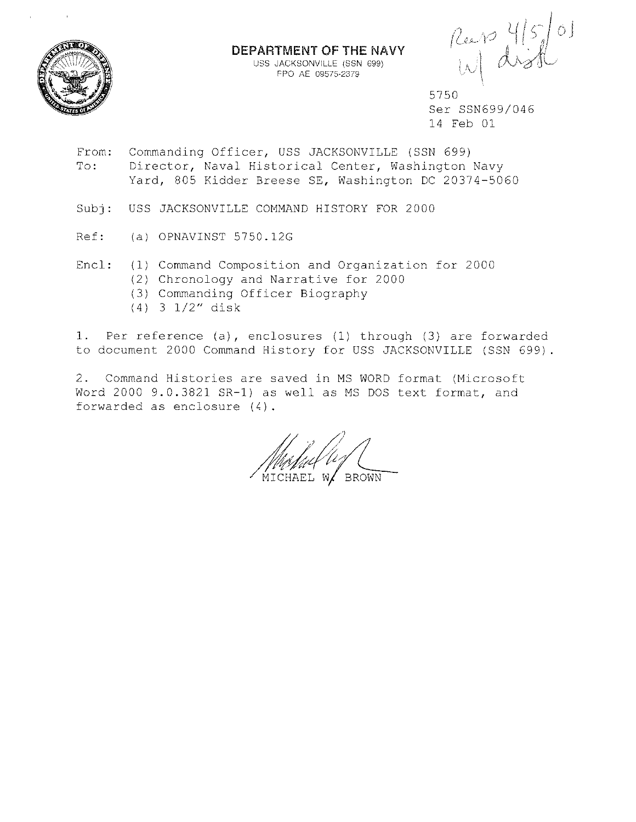

DEPARTMENT OF THE NAVY USS JACKSONVILLE (SSN 699) FPO AE 09575-2379

 $\frac{1}{2}$   $\frac{1}{2}$   $\frac{1}{2}$   $\frac{1}{2}$   $\frac{1}{2}$   $\frac{1}{2}$   $\frac{1}{2}$ 

5750 Ser SSN699/046 14 Feb 01

From: To: Commanding Officer, USS JACKSONVILLE (SSN 699) Director, Naval Historical Center, Washington Navy Yard, 805 Kidder Breese SE, Washington DC 20374-5060

Subi: USS JACKSONVILLE COMMAND HISTORY FOR 2000

- Ref: (a) OPNAVINST 5750.12G
- Encl: (1) Command Composition and Organization for 2000 (2) Chronology and Narrative for 2000 (3) Commanding Officer Biography
	- (4) 3 1/2" disk

1. Per reference (a), enclosures (1) through (3) are forwarded to document 2000 Command History for USS JACKSONVILLE (SSN 699).

2. Command Histories are saved in MS WORD format (Microsoft Word 2000 9.0.3821 SR-1) as well as MS DOS text format, and forwarded as enclosure  $(4)$ .

 $\#$  /Michael  $\cup$  $\sim$  MICHAEL W $\sqrt{}$  BROWN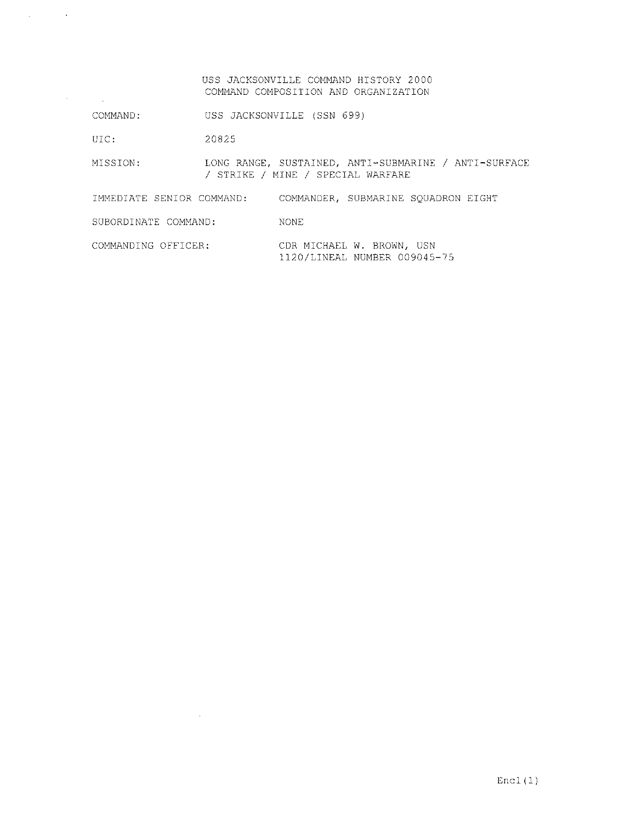## USS JACKSONVILLE COMMAND HISTORY 2000 COMMAND COMPOSITION AND ORGANIZATION

COMMAND: USS JACKSONVILLE (SSN 699)

UIC: 20825

 $\hat{\mathbf{x}}$  ,  $\hat{\mathbf{x}}$  ,  $\hat{\mathbf{x}}$  ,  $\hat{\mathbf{x}}$  ,  $\hat{\mathbf{x}}$ 

 $\sim$ 

 $\sim$ 

MISSION: LONG RANGE, SUSTAINED, ANTI-SUBMARINE / ANTI-SURFACE / STRIKE / MINE / SPECIAL WARFARE

IMMEDIATE SENIOR COMMAND: COMMANDER, SUBMARINE SQUADRON EIGHT

SUBORDINATE COMMAND: NONE

COMMANDING OFFICER: CDR MICHAEL W. BROWN, USN 1120/LINEAL NUMBER 009045-75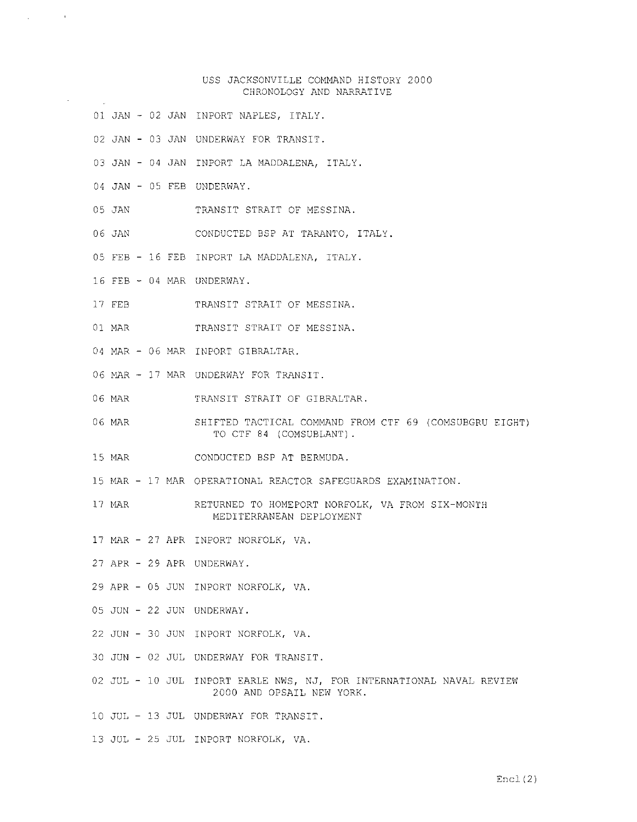## USS JACKSONVILLE COMMAND HISTORY 2000 CHRONOLOGY AND NARRATIVE

- 01 JAN 02 JAN INPORT NAPLES, ITALY.
- 02 JAN 03 JAN UNDERWAY FOR TRANSIT.
- 03 JAN 04 JAN INPORT LA MADDALENA, ITALY.
- 04 JAN 05 FEB UNDERWAY.

 $\sim 10$ 

 $\sim$ 

- 05 JAN TRANSIT STRAIT OF MESSINA.
- 06 JAN CONDUCTED BSP AT TARANTO, ITALY.
- 05 FEB 16 FEB INPORT LA MADDALENA, ITALY.
- 16 FEB 04 MAR UNDERWAY.
- 17 FEB TRANSIT STRAIT OF MESSINA.
- 01 MAR TRANSIT STRAIT OF MESSINA.
- 04 MAR 06 MAR INPORT GIBRALTAR.
- 06 MAR 17 MAR UNDERWAY FOR TRANSIT.
- 06 MAR TRANSIT STRAIT OF GIBRALTAR.
- 06 MAR SHIFTED TACTICAL COMMAND FROM CTF 69 (COMSUBGRU EIGHT) TO CTF 84 (COMSUBLANT).
- 15 MAR CONDUCTED BSP AT BERMUDA.
- 15 MAR 17 MAR OPERATIONAL REACTOR SAFEGUARDS EXAMINATION.
- 17 MAR RETURNED TO HOMEPORT NORFOLK, VA FROM SIX-MONTH MEDITERRANEAN DEPLOYMENT
- 17 MAR 27 APR INPORT NORFOLK, VA.
- 27 APR 29 APR UNDERWAY.
- 2 9 APR 05 JUN INPORT NORFOLK, VA.
- 05 JUN 22 JUN UNDERWAY.
- 22 JUN 30 JUN INPORT NORFOLK, VA.
- 30 JUN 02 JUL UNDERWAY FOR TRANSIT.
- 02 JUL 10 JUL INPORT EARLE NWS, NJ, FOR INTERNATIONAL NAVAL REVIEW 2000 AND OPSAIL NEW YORK.
- 10 JUL 13 JUL UNDERWAY FOR TRANSIT.
- 13 JUL 25 JUL INPORT NORFOLK, VA.